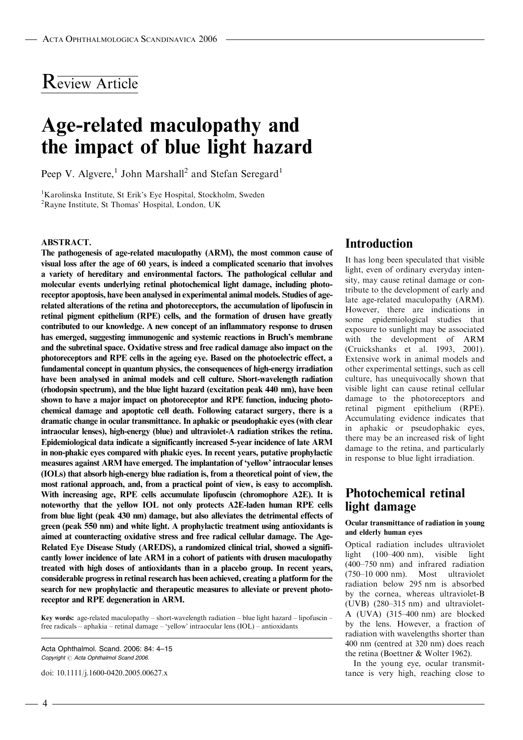## Review Article

# Age-related maculopathy and the impact of blue light hazard

Peep V. Algvere,<sup>1</sup> John Marshall<sup>2</sup> and Stefan Seregard<sup>1</sup>

<sup>1</sup>Karolinska Institute, St Erik's Eye Hospital, Stockholm, Sweden 2 Rayne Institute, St Thomas' Hospital, London, UK

#### ABSTRACT.

The pathogenesis of age-related maculopathy (ARM), the most common cause of visual loss after the age of 60 years, is indeed a complicated scenario that involves a variety of hereditary and environmental factors. The pathological cellular and molecular events underlying retinal photochemical light damage, including photoreceptor apoptosis, have been analysed in experimental animal models. Studies of agerelated alterations of the retina and photoreceptors, the accumulation of lipofuscin in retinal pigment epithelium (RPE) cells, and the formation of drusen have greatly contributed to our knowledge. A new concept of an inflammatory response to drusen has emerged, suggesting immunogenic and systemic reactions in Bruch's membrane and the subretinal space. Oxidative stress and free radical damage also impact on the photoreceptors and RPE cells in the ageing eye. Based on the photoelectric effect, a fundamental concept in quantum physics, the consequences of high-energy irradiation have been analysed in animal models and cell culture. Short-wavelength radiation (rhodopsin spectrum), and the blue light hazard (excitation peak 440 nm), have been shown to have a major impact on photoreceptor and RPE function, inducing photochemical damage and apoptotic cell death. Following cataract surgery, there is a dramatic change in ocular transmittance. In aphakic or pseudophakic eyes (with clear intraocular lenses), high-energy (blue) and ultraviolet-A radiation strikes the retina. Epidemiological data indicate a significantly increased 5-year incidence of late ARM in non-phakic eyes compared with phakic eyes. In recent years, putative prophylactic measures against ARM have emerged. The implantation of 'yellow' intraocular lenses (IOLs) that absorb high-energy blue radiation is, from a theoretical point of view, the most rational approach, and, from a practical point of view, is easy to accomplish. With increasing age, RPE cells accumulate lipofuscin (chromophore A2E). It is noteworthy that the yellow IOL not only protects A2E-laden human RPE cells from blue light (peak 430 nm) damage, but also alleviates the detrimental effects of green (peak 550 nm) and white light. A prophylactic treatment using antioxidants is aimed at counteracting oxidative stress and free radical cellular damage. The Age-Related Eye Disease Study (AREDS), a randomized clinical trial, showed a significantly lower incidence of late ARM in a cohort of patients with drusen maculopathy treated with high doses of antioxidants than in a placebo group. In recent years, considerable progress in retinal research has been achieved, creating a platform for the search for new prophylactic and therapeutic measures to alleviate or prevent photoreceptor and RPE degeneration in ARM.

Key words: age-related maculopathy – short-wavelength radiation – blue light hazard – lipofuscin – free radicals – aphakia – retinal damage – 'yellow' intraocular lens (IOL) – antioxidants

Acta Ophthalmol. Scand. 2006: 84: 4–15 Copyright  $\odot$  Acta Ophthalmol Scand 2006.

doi: 10.1111/j.1600-0420.2005.00627.x

### Introduction

It has long been speculated that visible light, even of ordinary everyday intensity, may cause retinal damage or contribute to the development of early and late age-related maculopathy (ARM). However, there are indications in some epidemiological studies that exposure to sunlight may be associated with the development of ARM (Cruickshanks et al. 1993, 2001). Extensive work in animal models and other experimental settings, such as cell culture, has unequivocally shown that visible light can cause retinal cellular damage to the photoreceptors and retinal pigment epithelium (RPE). Accumulating evidence indicates that in aphakic or pseudophakic eyes, there may be an increased risk of light damage to the retina, and particularly in response to blue light irradiation.

### Photochemical retinal light damage

#### Ocular transmittance of radiation in young and elderly human eyes

Optical radiation includes ultraviolet light (100–400 nm), visible light (400–750 nm) and infrared radiation (750–10 000 nm). Most ultraviolet radiation below 295 nm is absorbed by the cornea, whereas ultraviolet-B (UVB) (280–315 nm) and ultraviolet-A (UVA) (315–400 nm) are blocked by the lens. However, a fraction of radiation with wavelengths shorter than 400 nm (centred at 320 nm) does reach the retina (Boettner & Wolter 1962).

In the young eye, ocular transmittance is very high, reaching close to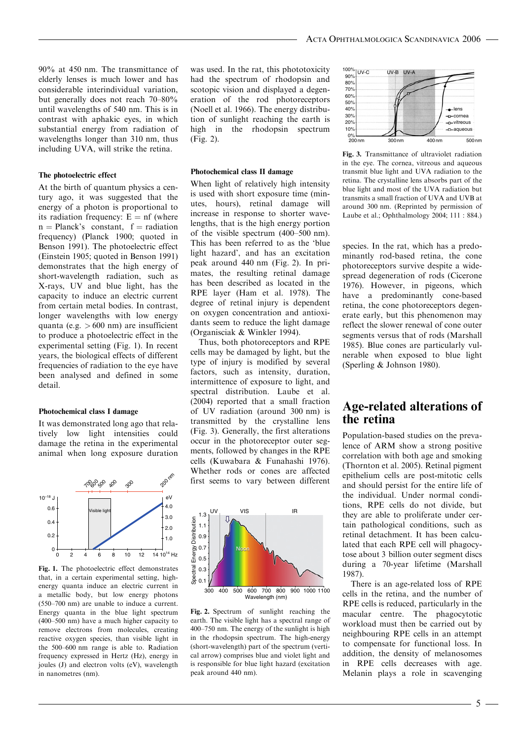90% at 450 nm. The transmittance of elderly lenses is much lower and has considerable interindividual variation, but generally does not reach 70–80% until wavelengths of 540 nm. This is in contrast with aphakic eyes, in which substantial energy from radiation of wavelengths longer than 310 nm, thus including UVA, will strike the retina.

#### The photoelectric effect

At the birth of quantum physics a century ago, it was suggested that the energy of a photon is proportional to its radiation frequency:  $E = nf$  (where  $n = Planck's constant, f = radiation$ frequency) (Planck 1900; quoted in Benson 1991). The photoelectric effect (Einstein 1905; quoted in Benson 1991) demonstrates that the high energy of short-wavelength radiation, such as X-rays, UV and blue light, has the capacity to induce an electric current from certain metal bodies. In contrast, longer wavelengths with low energy quanta (e.g.  $> 600$  nm) are insufficient to produce a photoelectric effect in the experimental setting (Fig. 1). In recent years, the biological effects of different frequencies of radiation to the eye have been analysed and defined in some detail.

#### Photochemical class I damage

It was demonstrated long ago that relatively low light intensities could damage the retina in the experimental animal when long exposure duration



Fig. 1. The photoelectric effect demonstrates that, in a certain experimental setting, highenergy quanta induce an electric current in a metallic body, but low energy photons (550–700 nm) are unable to induce a current. Energy quanta in the blue light spectrum (400–500 nm) have a much higher capacity to remove electrons from molecules, creating reactive oxygen species, than visible light in the 500–600 nm range is able to. Radiation frequency expressed in Hertz (Hz), energy in joules (J) and electron volts (eV), wavelength in nanometres (nm).

was used. In the rat, this phototoxicity had the spectrum of rhodopsin and scotopic vision and displayed a degeneration of the rod photoreceptors (Noell et al. 1966). The energy distribution of sunlight reaching the earth is high in the rhodopsin spectrum (Fig. 2).

#### Photochemical class II damage

When light of relatively high intensity is used with short exposure time (minutes, hours), retinal damage will increase in response to shorter wavelengths, that is the high energy portion of the visible spectrum (400–500 nm). This has been referred to as the 'blue light hazard', and has an excitation peak around 440 nm (Fig. 2). In primates, the resulting retinal damage has been described as located in the RPE layer (Ham et al. 1978). The degree of retinal injury is dependent on oxygen concentration and antioxidants seem to reduce the light damage (Organisciak & Winkler 1994).

Thus, both photoreceptors and RPE cells may be damaged by light, but the type of injury is modified by several factors, such as intensity, duration, intermittence of exposure to light, and spectral distribution. Laube et al. (2004) reported that a small fraction of UV radiation (around 300 nm) is transmitted by the crystalline lens (Fig. 3). Generally, the first alterations occur in the photoreceptor outer segments, followed by changes in the RPE cells (Kuwabara & Funahashi 1976). Whether rods or cones are affected first seems to vary between different



Fig. 2. Spectrum of sunlight reaching the earth. The visible light has a spectral range of 400–750 nm. The energy of the sunlight is high in the rhodopsin spectrum. The high-energy (short-wavelength) part of the spectrum (vertical arrow) comprises blue and violet light and is responsible for blue light hazard (excitation peak around 440 nm).



Fig. 3. Transmittance of ultraviolet radiation in the eye. The cornea, vitreous and aqueous transmit blue light and UVA radiation to the retina. The crystalline lens absorbs part of the blue light and most of the UVA radiation but transmits a small fraction of UVA and UVB at around 300 nm. (Reprinted by permission of Laube et al.; Ophthalmology 2004; 111 : 884.)

species. In the rat, which has a predominantly rod-based retina, the cone photoreceptors survive despite a widespread degeneration of rods (Cicerone 1976). However, in pigeons, which have a predominantly cone-based retina, the cone photoreceptors degenerate early, but this phenomenon may reflect the slower renewal of cone outer segments versus that of rods (Marshall 1985). Blue cones are particularly vulnerable when exposed to blue light (Sperling & Johnson 1980).

### Age-related alterations of the retina

Population-based studies on the prevalence of ARM show a strong positive correlation with both age and smoking (Thornton et al. 2005). Retinal pigment epithelium cells are post-mitotic cells and should persist for the entire life of the individual. Under normal conditions, RPE cells do not divide, but they are able to proliferate under certain pathological conditions, such as retinal detachment. It has been calculated that each RPE cell will phagocytose about 3 billion outer segment discs during a 70-year lifetime (Marshall 1987).

There is an age-related loss of RPE cells in the retina, and the number of RPE cells is reduced, particularly in the macular centre. The phagocytotic workload must then be carried out by neighbouring RPE cells in an attempt to compensate for functional loss. In addition, the density of melanosomes in RPE cells decreases with age. Melanin plays a role in scavenging

- 5 -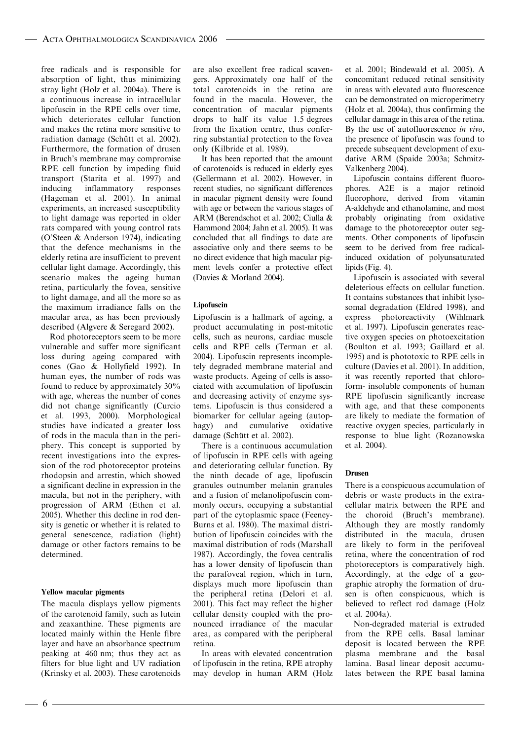free radicals and is responsible for absorption of light, thus minimizing stray light (Holz et al. 2004a). There is a continuous increase in intracellular lipofuscin in the RPE cells over time, which deteriorates cellular function and makes the retina more sensitive to radiation damage (Schütt et al. 2002). Furthermore, the formation of drusen in Bruch's membrane may compromise RPE cell function by impeding fluid transport (Starita et al. 1997) and inducing inflammatory responses (Hageman et al. 2001). In animal experiments, an increased susceptibility to light damage was reported in older rats compared with young control rats (O'Steen & Anderson 1974), indicating that the defence mechanisms in the elderly retina are insufficient to prevent cellular light damage. Accordingly, this scenario makes the ageing human retina, particularly the fovea, sensitive to light damage, and all the more so as the maximum irradiance falls on the macular area, as has been previously described (Algvere & Seregard 2002).

Rod photoreceptors seem to be more vulnerable and suffer more significant loss during ageing compared with cones (Gao & Hollyfield 1992). In human eyes, the number of rods was found to reduce by approximately 30% with age, whereas the number of cones did not change significantly (Curcio et al. 1993, 2000). Morphological studies have indicated a greater loss of rods in the macula than in the periphery. This concept is supported by recent investigations into the expression of the rod photoreceptor proteins rhodopsin and arrestin, which showed a significant decline in expression in the macula, but not in the periphery, with progression of ARM (Ethen et al. 2005). Whether this decline in rod density is genetic or whether it is related to general senescence, radiation (light) damage or other factors remains to be determined.

#### Yellow macular pigments

The macula displays yellow pigments of the carotenoid family, such as lutein and zeaxanthine. These pigments are located mainly within the Henle fibre layer and have an absorbance spectrum peaking at 460 nm; thus they act as filters for blue light and UV radiation (Krinsky et al. 2003). These carotenoids are also excellent free radical scavengers. Approximately one half of the total carotenoids in the retina are found in the macula. However, the concentration of macular pigments drops to half its value 1.5 degrees from the fixation centre, thus conferring substantial protection to the fovea only (Kilbride et al. 1989).

It has been reported that the amount of carotenoids is reduced in elderly eyes (Gellermann et al. 2002). However, in recent studies, no significant differences in macular pigment density were found with age or between the various stages of ARM (Berendschot et al. 2002; Ciulla & Hammond 2004; Jahn et al. 2005). It was concluded that all findings to date are associative only and there seems to be no direct evidence that high macular pigment levels confer a protective effect (Davies & Morland 2004).

#### Lipofuscin

Lipofuscin is a hallmark of ageing, a product accumulating in post-mitotic cells, such as neurons, cardiac muscle cells and RPE cells (Terman et al. 2004). Lipofuscin represents incompletely degraded membrane material and waste products. Ageing of cells is associated with accumulation of lipofuscin and decreasing activity of enzyme systems. Lipofuscin is thus considered a biomarker for cellular ageing (autophagy) and cumulative oxidative damage (Schütt et al. 2002).

There is a continuous accumulation of lipofuscin in RPE cells with ageing and deteriorating cellular function. By the ninth decade of age, lipofuscin granules outnumber melanin granules and a fusion of melanolipofuscin commonly occurs, occupying a substantial part of the cytoplasmic space (Feeney-Burns et al. 1980). The maximal distribution of lipofuscin coincides with the maximal distribution of rods (Marshall 1987). Accordingly, the fovea centralis has a lower density of lipofuscin than the parafoveal region, which in turn, displays much more lipofuscin than the peripheral retina (Delori et al. 2001). This fact may reflect the higher cellular density coupled with the pronounced irradiance of the macular area, as compared with the peripheral retina.

In areas with elevated concentration of lipofuscin in the retina, RPE atrophy may develop in human ARM (Holz et al. 2001; Bindewald et al. 2005). A concomitant reduced retinal sensitivity in areas with elevated auto fluorescence can be demonstrated on microperimetry (Holz et al. 2004a), thus confirming the cellular damage in this area of the retina. By the use of autofluorescence in vivo, the presence of lipofuscin was found to precede subsequent development of exudative ARM (Spaide 2003a; Schmitz-Valkenberg 2004).

Lipofuscin contains different fluorophores. A2E is a major retinoid fluorophore, derived from vitamin A-aldehyde and ethanolamine, and most probably originating from oxidative damage to the photoreceptor outer segments. Other components of lipofuscin seem to be derived from free radicalinduced oxidation of polyunsaturated lipids (Fig. 4).

Lipofuscin is associated with several deleterious effects on cellular function. It contains substances that inhibit lysosomal degradation (Eldred 1998), and express photoreactivity (Wihlmark et al. 1997). Lipofuscin generates reactive oxygen species on photoexcitation (Boulton et al. 1993; Gaillard et al. 1995) and is phototoxic to RPE cells in culture (Davies et al. 2001). In addition, it was recently reported that chloroform- insoluble components of human RPE lipofuscin significantly increase with age, and that these components are likely to mediate the formation of reactive oxygen species, particularly in response to blue light (Rozanowska et al. 2004).

#### Drusen

There is a conspicuous accumulation of debris or waste products in the extracellular matrix between the RPE and the choroid (Bruch's membrane). Although they are mostly randomly distributed in the macula, drusen are likely to form in the perifoveal retina, where the concentration of rod photoreceptors is comparatively high. Accordingly, at the edge of a geographic atrophy the formation of drusen is often conspicuous, which is believed to reflect rod damage (Holz et al. 2004a).

Non-degraded material is extruded from the RPE cells. Basal laminar deposit is located between the RPE plasma membrane and the basal lamina. Basal linear deposit accumulates between the RPE basal lamina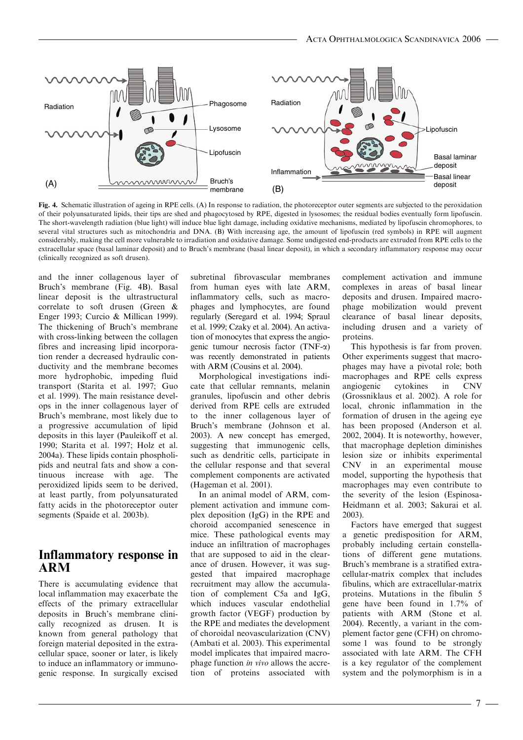

Fig. 4. Schematic illustration of ageing in RPE cells. (A) In response to radiation, the photoreceptor outer segments are subjected to the peroxidation of their polyunsaturated lipids, their tips are shed and phagocytosed by RPE, digested in lysosomes; the residual bodies eventually form lipofuscin. The short-wavelength radiation (blue light) will induce blue light damage, including oxidative mechanisms, mediated by lipofuscin chromophores, to several vital structures such as mitochondria and DNA. (B) With increasing age, the amount of lipofuscin (red symbols) in RPE will augment considerably, making the cell more vulnerable to irradiation and oxidative damage. Some undigested end-products are extruded from RPE cells to the extracellular space (basal laminar deposit) and to Bruch's membrane (basal linear deposit), in which a secondary inflammatory response may occur (clinically recognized as soft drusen).

and the inner collagenous layer of Bruch's membrane (Fig. 4B). Basal linear deposit is the ultrastructural correlate to soft drusen (Green & Enger 1993; Curcio & Millican 1999). The thickening of Bruch's membrane with cross-linking between the collagen fibres and increasing lipid incorporation render a decreased hydraulic conductivity and the membrane becomes more hydrophobic, impeding fluid transport (Starita et al. 1997; Guo et al. 1999). The main resistance develops in the inner collagenous layer of Bruch's membrane, most likely due to a progressive accumulation of lipid deposits in this layer (Pauleikoff et al. 1990; Starita et al. 1997; Holz et al. 2004a). These lipids contain phospholipids and neutral fats and show a continuous increase with age. The peroxidized lipids seem to be derived, at least partly, from polyunsaturated fatty acids in the photoreceptor outer segments (Spaide et al. 2003b).

### Inflammatory response in ARM

There is accumulating evidence that local inflammation may exacerbate the effects of the primary extracellular deposits in Bruch's membrane clinically recognized as drusen. It is known from general pathology that foreign material deposited in the extracellular space, sooner or later, is likely to induce an inflammatory or immunogenic response. In surgically excised subretinal fibrovascular membranes from human eyes with late ARM, inflammatory cells, such as macrophages and lymphocytes, are found regularly (Seregard et al. 1994; Spraul et al. 1999; Czaky et al. 2004). An activation of monocytes that express the angiogenic tumour necrosis factor (TNF-a) was recently demonstrated in patients with ARM (Cousins et al. 2004).

Morphological investigations indicate that cellular remnants, melanin granules, lipofuscin and other debris derived from RPE cells are extruded to the inner collagenous layer of Bruch's membrane (Johnson et al. 2003). A new concept has emerged, suggesting that immunogenic cells, such as dendritic cells, participate in the cellular response and that several complement components are activated (Hageman et al. 2001).

In an animal model of ARM, complement activation and immune complex deposition (IgG) in the RPE and choroid accompanied senescence in mice. These pathological events may induce an infiltration of macrophages that are supposed to aid in the clearance of drusen. However, it was suggested that impaired macrophage recruitment may allow the accumulation of complement C5a and IgG, which induces vascular endothelial growth factor (VEGF) production by the RPE and mediates the development of choroidal neovascularization (CNV) (Ambati et al. 2003). This experimental model implicates that impaired macrophage function in vivo allows the accretion of proteins associated with complement activation and immune complexes in areas of basal linear deposits and drusen. Impaired macrophage mobilization would prevent clearance of basal linear deposits, including drusen and a variety of proteins.

This hypothesis is far from proven. Other experiments suggest that macrophages may have a pivotal role; both macrophages and RPE cells express angiogenic cytokines in CNV (Grossniklaus et al. 2002). A role for local, chronic inflammation in the formation of drusen in the ageing eye has been proposed (Anderson et al. 2002, 2004). It is noteworthy, however, that macrophage depletion diminishes lesion size or inhibits experimental CNV in an experimental mouse model, supporting the hypothesis that macrophages may even contribute to the severity of the lesion (Espinosa-Heidmann et al. 2003; Sakurai et al. 2003).

Factors have emerged that suggest a genetic predisposition for ARM, probably including certain constellations of different gene mutations. Bruch's membrane is a stratified extracellular-matrix complex that includes fibulins, which are extracellular-matrix proteins. Mutations in the fibulin 5 gene have been found in 1.7% of patients with ARM (Stone et al. 2004). Recently, a variant in the complement factor gene (CFH) on chromosome 1 was found to be strongly associated with late ARM. The CFH is a key regulator of the complement system and the polymorphism is in a

- 7 –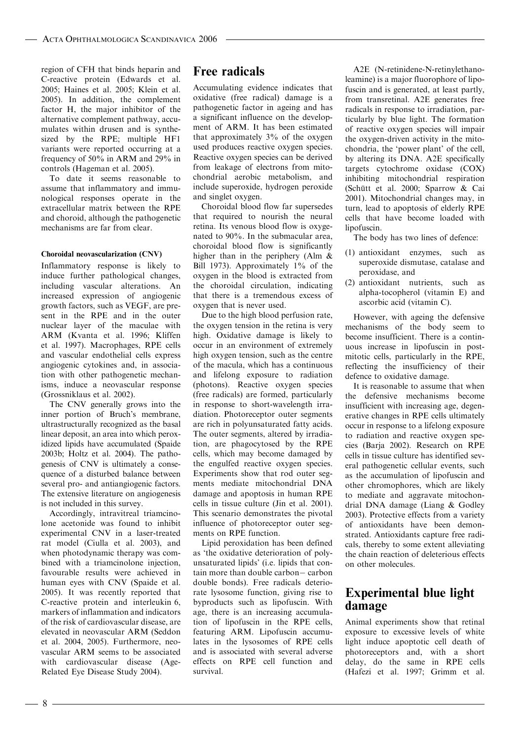region of CFH that binds heparin and C-reactive protein (Edwards et al. 2005; Haines et al. 2005; Klein et al. 2005). In addition, the complement factor H, the major inhibitor of the alternative complement pathway, accumulates within drusen and is synthesized by the RPE; multiple HF1 variants were reported occurring at a frequency of 50% in ARM and 29% in controls (Hageman et al. 2005).

To date it seems reasonable to assume that inflammatory and immunological responses operate in the extracellular matrix between the RPE and choroid, although the pathogenetic mechanisms are far from clear.

#### Choroidal neovascularization (CNV)

Inflammatory response is likely to induce further pathological changes, including vascular alterations. An increased expression of angiogenic growth factors, such as VEGF, are present in the RPE and in the outer nuclear layer of the maculae with ARM (Kvanta et al. 1996; Kliffen et al. 1997). Macrophages, RPE cells and vascular endothelial cells express angiogenic cytokines and, in association with other pathogenetic mechanisms, induce a neovascular response (Grossniklaus et al. 2002).

The CNV generally grows into the inner portion of Bruch's membrane, ultrastructurally recognized as the basal linear deposit, an area into which peroxidized lipids have accumulated (Spaide 2003b; Holtz et al. 2004). The pathogenesis of CNV is ultimately a consequence of a disturbed balance between several pro- and antiangiogenic factors. The extensive literature on angiogenesis is not included in this survey.

Accordingly, intravitreal triamcinolone acetonide was found to inhibit experimental CNV in a laser-treated rat model (Ciulla et al. 2003), and when photodynamic therapy was combined with a triamcinolone injection, favourable results were achieved in human eyes with CNV (Spaide et al. 2005). It was recently reported that C-reactive protein and interleukin 6, markers of inflammation and indicators of the risk of cardiovascular disease, are elevated in neovascular ARM (Seddon et al. 2004, 2005). Furthermore, neovascular ARM seems to be associated with cardiovascular disease (Age-Related Eye Disease Study 2004).

### Free radicals

Accumulating evidence indicates that oxidative (free radical) damage is a pathogenetic factor in ageing and has a significant influence on the development of ARM. It has been estimated that approximately 3% of the oxygen used produces reactive oxygen species. Reactive oxygen species can be derived from leakage of electrons from mitochondrial aerobic metabolism, and include superoxide, hydrogen peroxide and singlet oxygen.

Choroidal blood flow far supersedes that required to nourish the neural retina. Its venous blood flow is oxygenated to 90%. In the submacular area, choroidal blood flow is significantly higher than in the periphery (Alm & Bill 1973). Approximately 1% of the oxygen in the blood is extracted from the choroidal circulation, indicating that there is a tremendous excess of oxygen that is never used.

Due to the high blood perfusion rate, the oxygen tension in the retina is very high. Oxidative damage is likely to occur in an environment of extremely high oxygen tension, such as the centre of the macula, which has a continuous and lifelong exposure to radiation (photons). Reactive oxygen species (free radicals) are formed, particularly in response to short-wavelength irradiation. Photoreceptor outer segments are rich in polyunsaturated fatty acids. The outer segments, altered by irradiation, are phagocytosed by the RPE cells, which may become damaged by the engulfed reactive oxygen species. Experiments show that rod outer segments mediate mitochondrial DNA damage and apoptosis in human RPE cells in tissue culture (Jin et al. 2001). This scenario demonstrates the pivotal influence of photoreceptor outer segments on RPE function.

Lipid peroxidation has been defined as 'the oxidative deterioration of polyunsaturated lipids' (i.e. lipids that contain more than double carbon- carbon double bonds). Free radicals deteriorate lysosome function, giving rise to byproducts such as lipofuscin. With age, there is an increasing accumulation of lipofuscin in the RPE cells, featuring ARM. Lipofuscin accumulates in the lysosomes of RPE cells and is associated with several adverse effects on RPE cell function and survival.

A2E (N-retinidene-N-retinylethanoleamine) is a major fluorophore of lipofuscin and is generated, at least partly, from transretinal. A2E generates free radicals in response to irradiation, particularly by blue light. The formation of reactive oxygen species will impair the oxygen-driven activity in the mitochondria, the 'power plant' of the cell, by altering its DNA. A2E specifically targets cytochrome oxidase (COX) inhibiting mitochondrial respiration (Schütt et al. 2000; Sparrow & Cai 2001). Mitochondrial changes may, in turn, lead to apoptosis of elderly RPE cells that have become loaded with lipofuscin.

The body has two lines of defence:

- (1) antioxidant enzymes, such as superoxide dismutase, catalase and peroxidase, and
- (2) antioxidant nutrients, such as alpha-tocopherol (vitamin E) and ascorbic acid (vitamin C).

However, with ageing the defensive mechanisms of the body seem to become insufficient. There is a continuous increase in lipofuscin in postmitotic cells, particularly in the RPE, reflecting the insufficiency of their defence to oxidative damage.

It is reasonable to assume that when the defensive mechanisms become insufficient with increasing age, degenerative changes in RPE cells ultimately occur in response to a lifelong exposure to radiation and reactive oxygen species (Barja 2002). Research on RPE cells in tissue culture has identified several pathogenetic cellular events, such as the accumulation of lipofuscin and other chromophores, which are likely to mediate and aggravate mitochondrial DNA damage (Liang & Godley 2003). Protective effects from a variety of antioxidants have been demonstrated. Antioxidants capture free radicals, thereby to some extent alleviating the chain reaction of deleterious effects on other molecules.

### Experimental blue light damage

Animal experiments show that retinal exposure to excessive levels of white light induce apoptotic cell death of photoreceptors and, with a short delay, do the same in RPE cells (Hafezi et al. 1997; Grimm et al.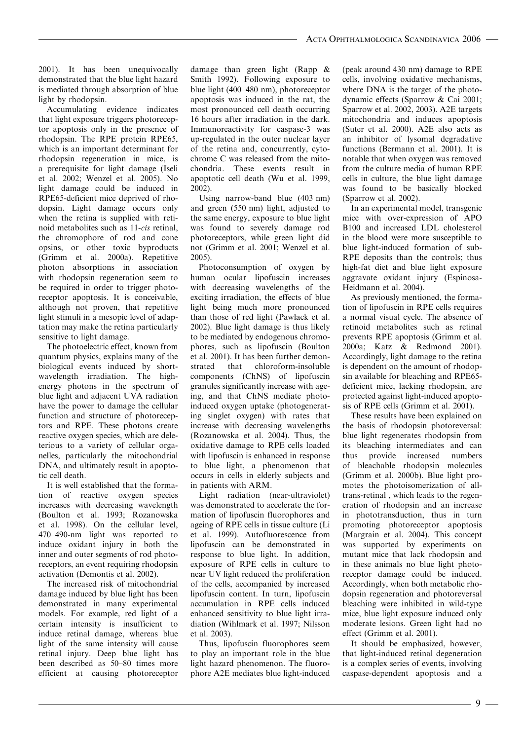2001). It has been unequivocally demonstrated that the blue light hazard is mediated through absorption of blue light by rhodopsin.

Accumulating evidence indicates that light exposure triggers photoreceptor apoptosis only in the presence of rhodopsin. The RPE protein RPE65, which is an important determinant for rhodopsin regeneration in mice, is a prerequisite for light damage (Iseli et al. 2002; Wenzel et al. 2005). No light damage could be induced in RPE65-deficient mice deprived of rhodopsin. Light damage occurs only when the retina is supplied with retinoid metabolites such as 11-cis retinal, the chromophore of rod and cone opsins, or other toxic byproducts (Grimm et al. 2000a). Repetitive photon absorptions in association with rhodopsin regeneration seem to be required in order to trigger photoreceptor apoptosis. It is conceivable, although not proven, that repetitive light stimuli in a mesopic level of adaptation may make the retina particularly sensitive to light damage.

The photoelectric effect, known from quantum physics, explains many of the biological events induced by shortwavelength irradiation. The highenergy photons in the spectrum of blue light and adjacent UVA radiation have the power to damage the cellular function and structure of photoreceptors and RPE. These photons create reactive oxygen species, which are deleterious to a variety of cellular organelles, particularly the mitochondrial DNA, and ultimately result in apoptotic cell death.

It is well established that the formation of reactive oxygen species increases with decreasing wavelength (Boulton et al. 1993; Rozanowska et al. 1998). On the cellular level, 470–490-nm light was reported to induce oxidant injury in both the inner and outer segments of rod photoreceptors, an event requiring rhodopsin activation (Demontis et al. 2002).

The increased risk of mitochondrial damage induced by blue light has been demonstrated in many experimental models. For example, red light of a certain intensity is insufficient to induce retinal damage, whereas blue light of the same intensity will cause retinal injury. Deep blue light has been described as 50–80 times more efficient at causing photoreceptor damage than green light (Rapp & Smith 1992). Following exposure to blue light (400–480 nm), photoreceptor apoptosis was induced in the rat, the most pronounced cell death occurring 16 hours after irradiation in the dark. Immunoreactivity for caspase-3 was up-regulated in the outer nuclear layer of the retina and, concurrently, cytochrome C was released from the mitochondria. These events result in apoptotic cell death (Wu et al. 1999, 2002).

Using narrow-band blue (403 nm) and green (550 nm) light, adjusted to the same energy, exposure to blue light was found to severely damage rod photoreceptors, while green light did not (Grimm et al. 2001; Wenzel et al. 2005).

Photoconsumption of oxygen by human ocular lipofuscin increases with decreasing wavelengths of the exciting irradiation, the effects of blue light being much more pronounced than those of red light (Pawlack et al. 2002). Blue light damage is thus likely to be mediated by endogenous chromophores, such as lipofuscin (Boulton et al. 2001). It has been further demonstrated that chloroform-insoluble components (ChNS) of lipofuscin granules significantly increase with ageing, and that ChNS mediate photoinduced oxygen uptake (photogenerating singlet oxygen) with rates that increase with decreasing wavelengths (Rozanowska et al. 2004). Thus, the oxidative damage to RPE cells loaded with lipofuscin is enhanced in response to blue light, a phenomenon that occurs in cells in elderly subjects and in patients with ARM.

Light radiation (near-ultraviolet) was demonstrated to accelerate the formation of lipofuscin fluorophores and ageing of RPE cells in tissue culture (Li et al. 1999). Autofluorescence from lipofuscin can be demonstrated in response to blue light. In addition, exposure of RPE cells in culture to near UV light reduced the proliferation of the cells, accompanied by increased lipofuscin content. In turn, lipofuscin accumulation in RPE cells induced enhanced sensitivity to blue light irradiation (Wihlmark et al. 1997; Nilsson et al. 2003).

Thus, lipofuscin fluorophores seem to play an important role in the blue light hazard phenomenon. The fluorophore A2E mediates blue light-induced (peak around 430 nm) damage to RPE cells, involving oxidative mechanisms, where DNA is the target of the photodynamic effects (Sparrow & Cai 2001; Sparrow et al. 2002, 2003). A2E targets mitochondria and induces apoptosis (Suter et al. 2000). A2E also acts as an inhibitor of lysomal degradative functions (Bermann et al. 2001). It is notable that when oxygen was removed from the culture media of human RPE cells in culture, the blue light damage was found to be basically blocked (Sparrow et al. 2002).

In an experimental model, transgenic mice with over-expression of APO B100 and increased LDL cholesterol in the blood were more susceptible to blue light-induced formation of sub-RPE deposits than the controls; thus high-fat diet and blue light exposure aggravate oxidant injury (Espinosa-Heidmann et al. 2004).

As previously mentioned, the formation of lipofuscin in RPE cells requires a normal visual cycle. The absence of retinoid metabolites such as retinal prevents RPE apoptosis (Grimm et al. 2000a; Katz & Redmond 2001). Accordingly, light damage to the retina is dependent on the amount of rhodopsin available for bleaching and RPE65 deficient mice, lacking rhodopsin, are protected against light-induced apoptosis of RPE cells (Grimm et al. 2001).

These results have been explained on the basis of rhodopsin photoreversal: blue light regenerates rhodopsin from its bleaching intermediates and can thus provide increased numbers of bleachable rhodopsin molecules (Grimm et al. 2000b). Blue light promotes the photoisomerization of alltrans-retinal , which leads to the regeneration of rhodopsin and an increase in phototransduction, thus in turn promoting photoreceptor apoptosis (Margrain et al. 2004). This concept was supported by experiments on mutant mice that lack rhodopsin and in these animals no blue light photoreceptor damage could be induced. Accordingly, when both metabolic rhodopsin regeneration and photoreversal bleaching were inhibited in wild-type mice, blue light exposure induced only moderate lesions. Green light had no effect (Grimm et al. 2001).

It should be emphasized, however, that light-induced retinal degeneration is a complex series of events, involving caspase-dependent apoptosis and a

 $-9 -$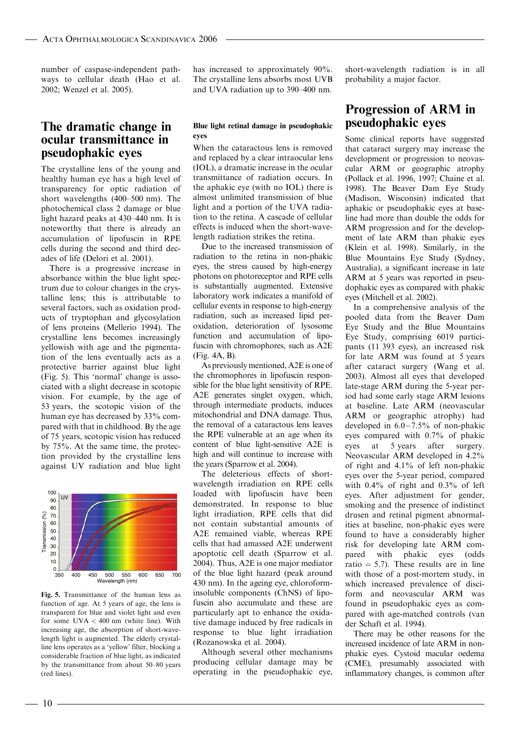number of caspase-independent pathways to cellular death (Hao et al. 2002; Wenzel et al. 2005).

### The dramatic change in ocular transmittance in pseudophakic eyes

The crystalline lens of the young and healthy human eye has a high level of transparency for optic radiation of short wavelengths (400–500 nm). The photochemical class 2 damage or blue light hazard peaks at 430–440 nm. It is noteworthy that there is already an accumulation of lipofuscin in RPE cells during the second and third decades of life (Delori et al. 2001).

There is a progressive increase in absorbance within the blue light spectrum due to colour changes in the crystalline lens; this is attributable to several factors, such as oxidation products of tryptophan and glycosylation of lens proteins (Mellerio 1994). The crystalline lens becomes increasingly yellowish with age and the pigmentation of the lens eventually acts as a protective barrier against blue light (Fig. 5). This 'normal' change is associated with a slight decrease in scotopic vision. For example, by the age of 53 years, the scotopic vision of the human eye has decreased by 33% compared with that in childhood. By the age of 75 years, scotopic vision has reduced by 75%. At the same time, the protection provided by the crystalline lens against UV radiation and blue light



Fig. 5. Transmittance of the human lens as function of age. At 5 years of age, the lens is transparent for blue and violet light and even for some  $UVA < 400$  nm (white line). With increasing age, the absorption of short-wavelength light is augmented. The elderly crystalline lens operates as a 'yellow' filter, blocking a considerable fraction of blue light, as indicated by the transmittance from about 50–80 years (red lines).

has increased to approximately 90%. The crystalline lens absorbs most UVB and UVA radiation up to 390–400 nm.

#### Blue light retinal damage in pseudophakic eyes

When the cataractous lens is removed and replaced by a clear intraocular lens (IOL), a dramatic increase in the ocular transmittance of radiation occurs. In the aphakic eye (with no IOL) there is almost unlimited transmission of blue light and a portion of the UVA radiation to the retina. A cascade of cellular effects is induced when the short-wavelength radiation strikes the retina.

Due to the increased transmission of radiation to the retina in non-phakic eyes, the stress caused by high-energy photons on photoreceptor and RPE cells is substantially augmented. Extensive laboratory work indicates a manifold of cellular events in response to high-energy radiation, such as increased lipid peroxidation, deterioration of lysosome function and accumulation of lipofuscin with chromophores, such as A2E (Fig. 4A, B).

As previously mentioned, A2E is one of the chromophores in lipofuscin responsible for the blue light sensitivity of RPE. A2E generates singlet oxygen, which, through intermediate products, induces mitochondrial and DNA damage. Thus, the removal of a cataractous lens leaves the RPE vulnerable at an age when its content of blue light-sensitive A2E is high and will continue to increase with the years (Sparrow et al. 2004).

The deleterious effects of shortwavelength irradiation on RPE cells loaded with lipofuscin have been demonstrated. In response to blue light irradiation, RPE cells that did not contain substantial amounts of A2E remained viable, whereas RPE cells that had amassed A2E underwent apoptotic cell death (Sparrow et al. 2004). Thus, A2E is one major mediator of the blue light hazard (peak around 430 nm). In the ageing eye, chloroforminsoluble components (ChNS) of lipofuscin also accumulate and these are particularly apt to enhance the oxidative damage induced by free radicals in response to blue light irradiation (Rozanowska et al. 2004).

Although several other mechanisms producing cellular damage may be operating in the pseudophakic eye, short-wavelength radiation is in all probability a major factor.

### Progression of ARM in pseudophakic eyes

Some clinical reports have suggested that cataract surgery may increase the development or progression to neovascular ARM or geographic atrophy (Pollack et al. 1996, 1997; Chaine et al. 1998). The Beaver Dam Eye Study (Madison, Wisconsin) indicated that aphakic or pseudophakic eyes at baseline had more than double the odds for ARM progression and for the development of late ARM than phakic eyes (Klein et al. 1998). Similarly, in the Blue Mountains Eye Study (Sydney, Australia), a significant increase in late ARM at 5 years was reported in pseudophakic eyes as compared with phakic eyes (Mitchell et al. 2002).

In a comprehensive analysis of the pooled data from the Beaver Dam Eye Study and the Blue Mountains Eye Study, comprising 6019 participants (11 393 eyes), an increased risk for late ARM was found at 5 years after cataract surgery (Wang et al. 2003). Almost all eyes that developed late-stage ARM during the 5-year period had some early stage ARM lesions at baseline. Late ARM (neovascular ARM or geographic atrophy) had developed in  $6.0-7.5%$  of non-phakic eyes compared with 0.7% of phakic eyes at 5 years after surgery. Neovascular ARM developed in 4.2% of right and 4.1% of left non-phakic eyes over the 5-year period, compared with 0.4% of right and 0.3% of left eyes. After adjustment for gender, smoking and the presence of indistinct drusen and retinal pigment abnormalities at baseline, non-phakic eyes were found to have a considerably higher risk for developing late ARM compared with phakic eyes (odds ratio  $= 5.7$ ). These results are in line with those of a post-mortem study, in which increased prevalence of disciform and neovascular ARM was found in pseudophakic eyes as compared with age-matched controls (van der Schaft et al. 1994).

There may be other reasons for the increased incidence of late ARM in nonphakic eyes. Cystoid macular oedema (CME), presumably associated with inflammatory changes, is common after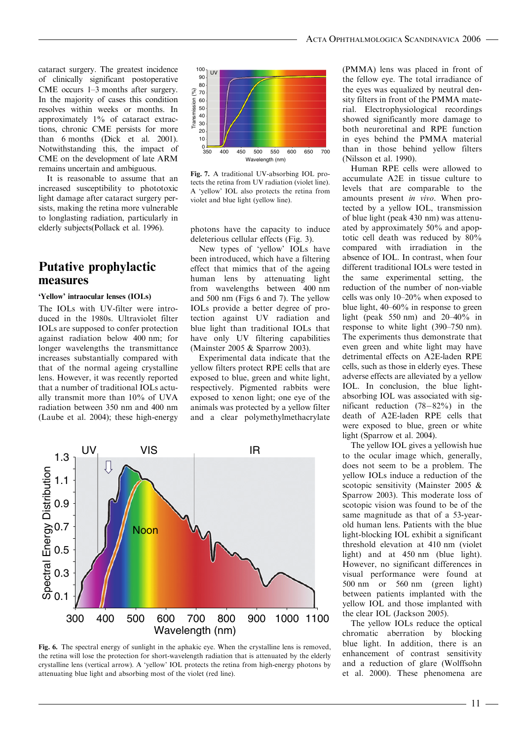cataract surgery. The greatest incidence of clinically significant postoperative CME occurs 1–3 months after surgery. In the majority of cases this condition resolves within weeks or months. In approximately 1% of cataract extractions, chronic CME persists for more than 6 months (Dick et al. 2001). Notwithstanding this, the impact of CME on the development of late ARM remains uncertain and ambiguous.

It is reasonable to assume that an increased susceptibility to phototoxic light damage after cataract surgery persists, making the retina more vulnerable to longlasting radiation, particularly in elderly subjects(Pollack et al. 1996).

### Putative prophylactic measures

#### 'Yellow' intraocular lenses (IOLs)

The IOLs with UV-filter were introduced in the 1980s. Ultraviolet filter IOLs are supposed to confer protection against radiation below 400 nm; for longer wavelengths the transmittance increases substantially compared with that of the normal ageing crystalline lens. However, it was recently reported that a number of traditional IOLs actually transmit more than 10% of UVA radiation between 350 nm and 400 nm (Laube et al. 2004); these high-energy



Fig. 7. A traditional UV-absorbing IOL protects the retina from UV radiation (violet line). A 'yellow' IOL also protects the retina from violet and blue light (yellow line).

photons have the capacity to induce deleterious cellular effects (Fig. 3).

New types of 'yellow' IOLs have been introduced, which have a filtering effect that mimics that of the ageing human lens by attenuating light from wavelengths between 400 nm and 500 nm (Figs 6 and 7). The yellow IOLs provide a better degree of protection against UV radiation and blue light than traditional IOLs that have only UV filtering capabilities (Mainster 2005 & Sparrow 2003).

Experimental data indicate that the yellow filters protect RPE cells that are exposed to blue, green and white light, respectively. Pigmented rabbits were exposed to xenon light; one eye of the animals was protected by a yellow filter and a clear polymethylmethacrylate



Fig. 6. The spectral energy of sunlight in the aphakic eye. When the crystalline lens is removed, the retina will lose the protection for short-wavelength radiation that is attenuated by the elderly crystalline lens (vertical arrow). A 'yellow' IOL protects the retina from high-energy photons by attenuating blue light and absorbing most of the violet (red line).

(PMMA) lens was placed in front of the fellow eye. The total irradiance of the eyes was equalized by neutral density filters in front of the PMMA material. Electrophysiological recordings showed significantly more damage to both neuroretinal and RPE function in eyes behind the PMMA material than in those behind yellow filters (Nilsson et al. 1990).

Human RPE cells were allowed to accumulate A2E in tissue culture to levels that are comparable to the amounts present in vivo. When protected by a yellow IOL, transmission of blue light (peak 430 nm) was attenuated by approximately 50% and apoptotic cell death was reduced by 80% compared with irradiation in the absence of IOL. In contrast, when four different traditional IOLs were tested in the same experimental setting, the reduction of the number of non-viable cells was only 10–20% when exposed to blue light, 40–60% in response to green light (peak 550 nm) and  $20-40\%$  in response to white light (390–750 nm). The experiments thus demonstrate that even green and white light may have detrimental effects on A2E-laden RPE cells, such as those in elderly eyes. These adverse effects are alleviated by a yellow IOL. In conclusion, the blue lightabsorbing IOL was associated with significant reduction  $(78-82%)$  in the death of A2E-laden RPE cells that were exposed to blue, green or white light (Sparrow et al. 2004).

The yellow IOL gives a yellowish hue to the ocular image which, generally, does not seem to be a problem. The yellow IOLs induce a reduction of the scotopic sensitivity (Mainster 2005 & Sparrow 2003). This moderate loss of scotopic vision was found to be of the same magnitude as that of a 53-yearold human lens. Patients with the blue light-blocking IOL exhibit a significant threshold elevation at 410 nm (violet light) and at 450 nm (blue light). However, no significant differences in visual performance were found at 500 nm or 560 nm (green light) between patients implanted with the yellow IOL and those implanted with the clear IOL (Jackson 2005).

The yellow IOLs reduce the optical chromatic aberration by blocking blue light. In addition, there is an enhancement of contrast sensitivity and a reduction of glare (Wolffsohn et al. 2000). These phenomena are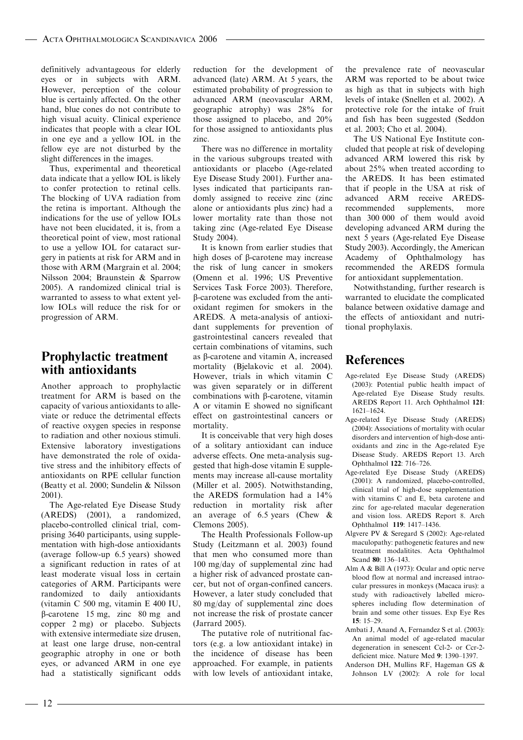definitively advantageous for elderly eyes or in subjects with ARM. However, perception of the colour blue is certainly affected. On the other hand, blue cones do not contribute to high visual acuity. Clinical experience indicates that people with a clear IOL in one eye and a yellow IOL in the fellow eye are not disturbed by the slight differences in the images.

Thus, experimental and theoretical data indicate that a yellow IOL is likely to confer protection to retinal cells. The blocking of UVA radiation from the retina is important. Although the indications for the use of yellow IOLs have not been elucidated, it is, from a theoretical point of view, most rational to use a yellow IOL for cataract surgery in patients at risk for ARM and in those with ARM (Margrain et al. 2004; Nilsson 2004; Braunstein & Sparrow 2005). A randomized clinical trial is warranted to assess to what extent yellow IOLs will reduce the risk for or progression of ARM.

### Prophylactic treatment with antioxidants

Another approach to prophylactic treatment for ARM is based on the capacity of various antioxidants to alleviate or reduce the detrimental effects of reactive oxygen species in response to radiation and other noxious stimuli. Extensive laboratory investigations have demonstrated the role of oxidative stress and the inhibitory effects of antioxidants on RPE cellular function (Beatty et al. 2000; Sundelin & Nilsson 2001).

The Age-related Eye Disease Study (AREDS) (2001), a randomized, placebo-controlled clinical trial, comprising 3640 participants, using supplementation with high-dose antioxidants (average follow-up 6.5 years) showed a significant reduction in rates of at least moderate visual loss in certain categories of ARM. Participants were randomized to daily antioxidants (vitamin C 500 mg, vitamin E 400 IU, b-carotene 15 mg, zinc 80 mg and copper 2 mg) or placebo. Subjects with extensive intermediate size drusen, at least one large druse, non-central geographic atrophy in one or both eyes, or advanced ARM in one eye had a statistically significant odds reduction for the development of advanced (late) ARM. At 5 years, the estimated probability of progression to advanced ARM (neovascular ARM, geographic atrophy) was 28% for those assigned to placebo, and 20% for those assigned to antioxidants plus zinc.

There was no difference in mortality in the various subgroups treated with antioxidants or placebo (Age-related Eye Disease Study 2001). Further analyses indicated that participants randomly assigned to receive zinc (zinc alone or antioxidants plus zinc) had a lower mortality rate than those not taking zinc (Age-related Eye Disease Study 2004).

It is known from earlier studies that high doses of b-carotene may increase the risk of lung cancer in smokers (Omenn et al. 1996; US Preventive Services Task Force 2003). Therefore, b-carotene was excluded from the antioxidant regimen for smokers in the AREDS. A meta-analysis of antioxidant supplements for prevention of gastrointestinal cancers revealed that certain combinations of vitamins, such as b-carotene and vitamin A, increased mortality (Bjelakovic et al. 2004). However, trials in which vitamin C was given separately or in different combinations with  $\beta$ -carotene, vitamin A or vitamin E showed no significant effect on gastrointestinal cancers or mortality.

It is conceivable that very high doses of a solitary antioxidant can induce adverse effects. One meta-analysis suggested that high-dose vitamin E supplements may increase all-cause mortality (Miller et al. 2005). Notwithstanding, the AREDS formulation had a 14% reduction in mortality risk after an average of 6.5 years (Chew & Clemons 2005).

The Health Professionals Follow-up Study (Leitzmann et al. 2003) found that men who consumed more than 100 mg/day of supplemental zinc had a higher risk of advanced prostate cancer, but not of organ-confined cancers. However, a later study concluded that 80 mg/day of supplemental zinc does not increase the risk of prostate cancer (Jarrard 2005).

The putative role of nutritional factors (e.g. a low antioxidant intake) in the incidence of disease has been approached. For example, in patients with low levels of antioxidant intake, the prevalence rate of neovascular ARM was reported to be about twice as high as that in subjects with high levels of intake (Snellen et al. 2002). A protective role for the intake of fruit and fish has been suggested (Seddon et al. 2003; Cho et al. 2004).

The US National Eye Institute concluded that people at risk of developing advanced ARM lowered this risk by about 25% when treated according to the AREDS. It has been estimated that if people in the USA at risk of advanced ARM receive AREDSrecommended supplements, more than 300 000 of them would avoid developing advanced ARM during the next 5 years (Age-related Eye Disease Study 2003). Accordingly, the American Academy of Ophthalmology has recommended the AREDS formula for antioxidant supplementation.

Notwithstanding, further research is warranted to elucidate the complicated balance between oxidative damage and the effects of antioxidant and nutritional prophylaxis.

### **References**

- Age-related Eye Disease Study (AREDS) (2003): Potential public health impact of Age-related Eye Disease Study results. AREDS Report 11. Arch Ophthalmol 121: 1621–1624.
- Age-related Eye Disease Study (AREDS) (2004): Associations of mortality with ocular disorders and intervention of high-dose antioxidants and zinc in the Age-related Eye Disease Study. AREDS Report 13. Arch Ophthalmol 122: 716–726.
- Age-related Eye Disease Study (AREDS) (2001): A randomized, placebo-controlled, clinical trial of high-dose supplementation with vitamins C and E, beta carotene and zinc for age-related macular degeneration and vision loss. AREDS Report 8. Arch Ophthalmol 119: 1417–1436.
- Algvere PV & Seregard S (2002): Age-related maculopathy: pathogenetic features and new treatment modalitites. Acta Ophthalmol Scand 80: 136–143.
- Alm A & Bill A (1973): Ocular and optic nerve blood flow at normal and increased intraocular pressures in monkeys (Macaca irus): a study with radioactively labelled microspheres including flow determination of brain and some other tissues. Exp Eye Res  $15 \cdot 15 - 29$
- Ambati J, Anand A, Fernandez S et al. (2003): An animal model of age-related macular degeneration in senescent Ccl-2- or Ccr-2 deficient mice. Nature Med 9: 1390–1397.
- Anderson DH, Mullins RF, Hageman GS & Johnson LV (2002): A role for local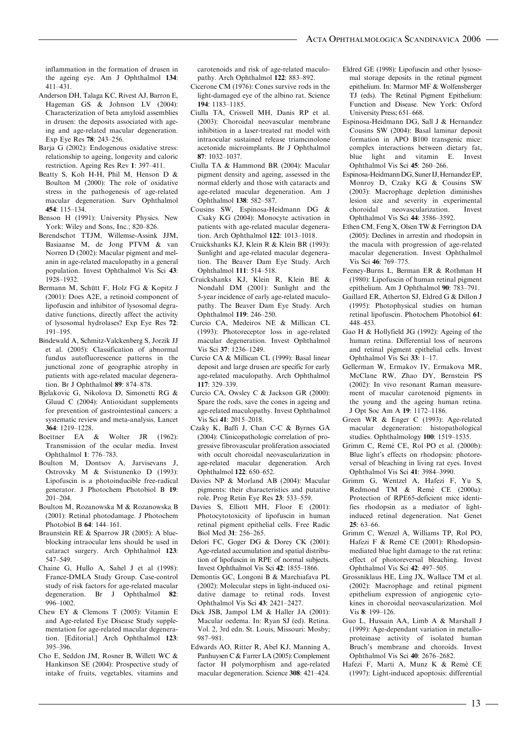inflammation in the formation of drusen in the ageing eye. Am J Ophthalmol 134: 411–431.

- Anderson DH, Talaga KC, Rivest AJ, Barron E, Hageman GS & Johnson LV (2004): Characterization of beta amyloid assemblies in drusen: the deposits associated with ageing and age-related macular degeneration. Exp Eye Res 78: 243–256.
- Barja G (2002): Endogenous oxidative stress: relationship to ageing, longevity and caloric restriction. Ageing Res Rev 1: 397–411.
- Beatty S, Koh H-H, Phil M, Henson D & Boulton M (2000): The role of oxidative stress in the pathogenesis of age-related macular degeneration. Surv Ophthalmol 454: 115–134.
- Benson H (1991): University Physics. New York: Wiley and Sons, Inc.; 820–826.
- Berendschot TTJM, Willemse-Assink JJM, Basiaanse M, de Jong PTVM & van Norren D (2002): Macular pigment and melanin in age-related maculopathy in a general population. Invest Ophthalmol Vis Sci 43: 1928–1932.
- Bermann M, Schütt F, Holz FG & Kopitz J (2001): Does A2E, a retinoid component of lipofuscin and inhibitor of lysosomal degradative functions, directly affect the activity of lysosomal hydrolases? Exp Eye Res 72: 191–195.
- Bindewald A, Schmitz-Valckenberg S, Jorzik JJ et al. (2005): Classification of abnormal fundus autofluorescence patterns in the junctional zone of geographic atrophy in patients with age-related macular degeneration. Br J Ophthalmol 89: 874–878.
- Bjelakovic G, Nikolova D, Simonetti RG & Gluud C (2004): Antioxidant supplements for prevention of gastrointestinal cancers: a systematic review and meta-analysis. Lancet 364: 1219–1228.
- Boettner EA & Wolter JR (1962): Transmission of the ocular media. Invest Ophthalmol 1: 776–783.
- Boulton M, Dontsov A, Jarvisevans J, Ostrovsky M & Svistunenko D (1993): Lipofuscin is a photoinducible free-radical generator. J Photochem Photobiol B 19: 201–204.
- Boulton M, Rozanowska M & Rozanowska B (2001): Retinal photodamage. J Photochem Photobiol B 64: 144–161.
- Braunstein RE & Sparrow JR (2005): A blueblocking intraocular lens should be used in cataract surgery. Arch Ophthalmol 123: 547–549.
- Chaine G, Hullo A, Sahel J et al (1998): France-DMLA Study Group. Case-control study of risk factors for age-related macular degeneration. Br J Ophthalmol 82: 996–1002.
- Chew EY & Clemons T (2005): Vitamin E and Age-related Eye Disease Study supplementation for age-related macular degeneration. [Editorial.] Arch Ophthalmol 123: 395–396.
- Cho E, Seddon JM, Rosner B, Willett WC & Hankinson SE (2004): Prospective study of intake of fruits, vegetables, vitamins and

carotenoids and risk of age-related maculopathy. Arch Ophthalmol 122: 883–892.

- Cicerone CM (1976): Cones survive rods in the light-damaged eye of the albino rat. Science 194: 1183–1185.
- Ciulla TA, Criswell MH, Danis RP et al. (2003): Choroidal neovascular membrane inhibition in a laser-treated rat model with intraocular sustained release triamcinolone acetonide microimplants. Br J Ophthalmol 87: 1032–1037.
- Ciulla TA & Hammond BR (2004): Macular pigment density and ageing, assessed in the normal elderly and those with cataracts and age-related macular degeneration. Am J Ophthalmol 138: 582–587.
- Cousins SW, Espinosa-Heidmann DG & Csaky KG (2004): Monocyte activation in patients with age-related macular degeneration. Arch Ophthalmol 122: 1013–1018.
- Cruickshanks KJ, Klein R & Klein BR (1993): Sunlight and age-related macular degeneration. The Beaver Dam Eye Study. Arch Ophthalmol 111: 514–518.
- Cruickshanks KJ, Klein R, Klein BE & Nondahl DM (2001): Sunlight and the 5-year incidence of early age-related maculopathy. The Beaver Dam Eye Study. Arch Ophthalmol 119: 246–250.
- Curcio CA, Medeiros NE & Millican CL (1993): Photoreceptor loss in age-related macular degeneration. Invest Ophthalmol Vis Sci 37: 1236–1249.
- Curcio CA & Millican CL (1999): Basal linear deposit and large drusen are specific for early age-related maculopathy. Arch Ophthalmol 117: 329–339.
- Curcio CA, Owsley C & Jackson GR (2000): Spare the rods, save the cones in ageing and age-related maculopathy. Invest Ophthalmol Vis Sci 41: 2015–2018.
- Czaky K, Baffi J, Chan C-C & Byrnes GA (2004): Clinicopathologic correlation of progressive fibrovascular proliferation associated with occult choroidal neovascularization in age-related macular degeneration. Arch Ophthalmol 122: 650–652.
- Davies NP & Morland AB (2004): Macular pigments: their characteristics and putative role. Prog Retin Eye Res 23: 533–559.
- Davies S, Elliott MH, Floor E (2001): Photocytotoxicity of lipofuscin in human retinal pigment epithelial cells. Free Radic Biol Med 31: 256–265.
- Delori FC, Goger DG & Dorey CK (2001): Age-related accumulation and spatial distribution of lipofuscin in RPE of normal subjects. Invest Ophthalmol Vis Sci 42: 1855–1866.
- Demontis GC, Longoni B & Marchiafava PL (2002): Molecular steps in light-induced oxidative damage to retinal rods. Invest Ophthalmol Vis Sci 43: 2421–2427.
- Dick JSB, Jampol LM & Haller JA (2001): Macular oedema. In: Ryan SJ (ed). Retina. Vol. 2, 3rd edn. St. Louis, Missouri: Mosby; 987–981.
- Edwards AO, Ritter R, Abel KJ, Manning A, Panhuysen C & Farrer LA (2005): Complement factor H polymorphism and age-related macular degeneration. Science 308: 421–424.
- Eldred GE (1998): Lipofuscin and other lysosomal storage deposits in the retinal pigment epithelium. In: Marmor MF & Wolfensberger TJ (eds). The Retinal Pigment Epithelium: Function and Disease. New York: Oxford University Press; 651–668.
- Espinosa-Heidmann DG, Sall J & Hernandez Cousins SW (2004): Basal laminar deposit formation in APO B100 transgenic mice: complex interactions between dietary fat, blue light and vitamin E. Invest Ophthalmol Vis Sci 45: 260–266.
- Espinosa-Heidmann DG, Suner IJ, Hernandez EP, Monroy D, Czaky KG & Cousins SW (2003): Macrophage depletion diminishes lesion size and severity in experimental choroidal neovascularization. Invest Ophthalmol Vis Sci 44: 3586–3592.
- Ethen CM, Feng X, Olsen TW & Ferrington DA (2005): Declines in arrestin and rhodopsin in the macula with progression of age-related macular degeneration. Invest Ophthalmol Vis Sci 46: 769–775.
- Feeney-Burns L, Berman ER & Rothman H (1980): Lipofuscin of human retinal pigment epithelium. Am J Ophthalmol 90: 783–791.
- Gaillard ER, Atherton SJ, Eldred G & Dillon J (1995): Photophysical studies on human retinal lipofuscin. Photochem Photobiol 61: 448–453.
- Gao H & Hollyfield JG (1992): Ageing of the human retina. Differential loss of neurons and retinal pigment epithelial cells. Invest Ophthalmol Vis Sci 33: 1–17.
- Gellerman W, Ermakov IV, Ermakova MR, McClane RW, Zhao DY, Bernstein PS (2002): In vivo resonant Raman measurement of macular carotenoid pigments in the young and the ageing human retina. J Opt Soc Am A 19: 1172–1186.
- Green WR & Enger C (1993): Age-related macular degeneration: histopathological studies. Ophthalmology 100: 1519–1535.
- Grimm C, Remé CE, Rol PO et al. (2000b): Blue light's effects on rhodopsin: photoreversal of bleaching in living rat eyes. Invest Ophthalmol Vis Sci 41: 3984–3990.
- Grimm G, Wentzel A, Hafezi F, Yu S, Redmond TM & Remé CE (2000a): Protection of RPE65-deficient mice identifies rhodopsin as a mediator of lightinduced retinal degeneration. Nat Genet 25: 63–66.
- Grimm C, Wenzel A, Williams TP, Rol PO, Hafezi F & Remé CE (2001): Rhodopsinmediated blue light damage to the rat retina: effect of photoreversal bleaching. Invest Ophthalmol Vis Sci 42: 497–505.
- Grossniklaus HE, Ling JX, Wallace TM et al. (2002): Macrophage and retinal pigment epithelium expression of angiogenic cytokines in choroidal neovascularization. Mol Vis 8: 199–126.
- Guo L, Hussain AA, Limb A & Marshall J (1999): Age-dependant variation in metalloproteinase activity of isolated human Bruch's membrane and choroids. Invest Ophthalmol Vis Sci 40: 2676–2682.
- Hafezi F, Marti A, Munz K & Remé CE (1997): Light-induced apoptosis: differential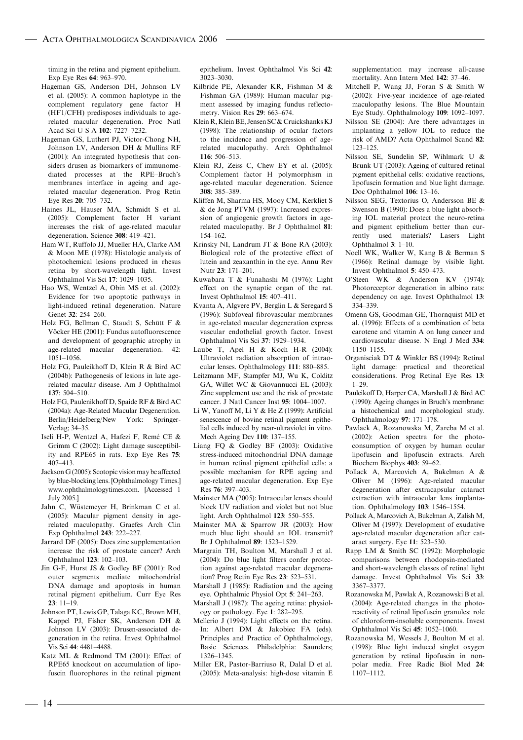timing in the retina and pigment epithelium. Exp Eye Res 64: 963–970.

- Hageman GS, Anderson DH, Johnson LV et al. (2005): A common haplotype in the complement regulatory gene factor H (HF1/CFH) predisposes individuals to agerelated macular degeneration. Proc Natl Acad Sci U S A 102: 7227–7232.
- Hageman GS, Luthert PJ, Victor-Chong NH, Johnson LV, Anderson DH & Mullins RF (2001): An integrated hypothesis that considers drusen as biomarkers of immunomediated processes at the RPE–Bruch's membranes interface in ageing and agerelated macular degeneration. Prog Retin Eye Res 20: 705–732.
- Haines JL, Hauser MA, Schmidt S et al. (2005): Complement factor H variant increases the risk of age-related macular degeneration. Science 308: 419–421.
- Ham WT, Ruffolo JJ, Mueller HA, Clarke AM & Moon ME (1978): Histologic analysis of photochemical lesions produced in rhesus retina by short-wavelength light. Invest Ophthalmol Vis Sci 17: 1029–1035.
- Hao WS, Wentzel A, Obin MS et al. (2002): Evidence for two apoptotic pathways in light-induced retinal degeneration. Nature Genet 32: 254–260.
- Holz FG, Bellman C, Staudt S, Schütt F & Vöcker HE (2001): Fundus autofluorescence and development of geographic atrophy in age-related macular degeneration. 42: 1051–1056.
- Holz FG, Pauleikhoff D, Klein R & Bird AC (2004b): Pathogenesis of lesions in late agerelated macular disease. Am J Ophthalmol  $137:504-510$
- Holz FG, Paulenikhoff D, Spaide RF & Bird AC (2004a): Age-Related Macular Degeneration. Berlin/Heidelberg/New York: Springer-Verlag; 34–35.
- Iseli H-P, Wentzel A, Hafezi F, Remé CE & Grimm C (2002): Light damage susceptibility and RPE65 in rats. Exp Eye Res 75: 407–413.
- Jackson G (2005): Scotopic vision may be affected by blue-blocking lens. [Ophthalmology Times.] www.ophthalmologytimes.com. [Accessed 1 July 2005.]
- Jahn C, Wüstemeyer H, Brinkman C et al. (2005): Macular pigment density in agerelated maculopathy. Graefes Arch Clin Exp Ophthalmol 243: 222–227.
- Jarrard DF (2005): Does zinc supplementation increase the risk of prostate cancer? Arch Ophthalmol 123: 102–103.
- Jin G-F, Hurst JS & Godley BF (2001): Rod outer segments mediate mitochondrial DNA damage and apoptosis in human retinal pigment epithelium. Curr Eye Res  $23 \cdot 11 - 19$
- Johnson PT, Lewis GP, Talaga KC, Brown MH, Kappel PJ, Fisher SK, Anderson DH & Johnson LV (2003): Drusen-associated degeneration in the retina. Invest Ophthalmol Vis Sci 44: 4481–4488.
- Katz ML & Redmond TM (2001): Effect of RPE65 knockout on accumulation of lipofuscin fluorophores in the retinal pigment

epithelium. Invest Ophthalmol Vis Sci 42: 3023–3030.

- Kilbride PE, Alexander KR, Fishman M & Fishman GA (1989): Human macular pigment assessed by imaging fundus reflectometry. Vision Res 29: 663–674.
- Klein R, Klein BE, Jensen SC & Cruickshanks KJ (1998): The relationship of ocular factors to the incidence and progression of agerelated maculopathy. Arch Ophthalmol 116: 506–513.
- Klein RJ, Zeiss C, Chew EY et al. (2005): Complement factor H polymorphism in age-related macular degeneration. Science 308: 385–389.
- Kliffen M, Sharma HS, Mooy CM, Kerkliet S & de Jong PTVM (1997): Increased expression of angiogenic growth factors in agerelated maculopathy. Br J Ophthalmol 81: 154–162.
- Krinsky NI, Landrum JT & Bone RA (2003): Biological role of the protective effect of lutein and zeaxanthin in the eye. Annu Rev Nutr 23: 171–201.
- Kuwabara T & Funahashi M (1976): Light effect on the synaptic organ of the rat. Invest Ophthalmol 15: 407–411.
- Kvanta A, Algvere PV, Berglin L & Seregard S (1996): Subfoveal fibrovascular membranes in age-related macular degeneration express vascular endothelial growth factor. Invest Ophthalmol Vis Sci 37: 1929–1934.
- Laube T, Apel H & Koch H-R (2004): Ultraviolet radiation absorption of intraocular lenses. Ophthalmology 111: 880–885.
- Leitzmann MF, Stampfer MJ, Wu K, Colditz GA, Willet WC & Giovannucci EL (2003): Zinc supplement use and the risk of prostate cancer. J Natl Cancer Inst 95: 1004–1007.
- Li W, Yanoff M, Li Y & He Z (1999): Artificial senescence of bovine retinal pigment epithelial cells induced by near-ultraviolet in vitro. Mech Ageing Dev 110: 137–155.
- Liang FQ & Godley BF (2003): Oxidative stress-induced mitochondrial DNA damage in human retinal pigment epithelial cells: a possible mechanism for RPE ageing and age-related macular degeneration. Exp Eye Res 76: 397–403.
- Mainster MA (2005): Intraocular lenses should block UV radiation and violet but not blue light. Arch Ophthalmol 123: 550–555.
- Mainster MA & Sparrow JR (2003): How much blue light should an IOL transmit? Br J Ophthalmol 89: 1523–1529.
- Margrain TH, Boulton M, Marshall J et al. (2004): Do blue light filters confer protection against age-related macular degeneration? Prog Retin Eye Res 23: 523–531.
- Marshall J (1985): Radiation and the ageing eye. Ophthalmic Physiol Opt 5: 241–263.
- Marshall J (1987): The ageing retina: physiology or pathology. Eye 1: 282–295.
- Mellerio J (1994): Light effects on the retina. In: Albert DM & Jakobiec FA (eds). Principles and Practice of Ophthalmology, Basic Sciences. Philadelphia: Saunders; 1326–1345.
- Miller ER, Pastor-Barriuso R, Dalal D et al. (2005): Meta-analysis: high-dose vitamin E

supplementation may increase all-cause mortality. Ann Intern Med 142: 37–46.

- Mitchell P, Wang JJ, Foran S & Smith W (2002): Five-year incidence of age-related maculopathy lesions. The Blue Mountain Eye Study. Ophthalmology 109: 1092–1097.
- Nilsson SE (2004): Are there advantages in implanting a yellow IOL to reduce the risk of AMD? Acta Ophthalmol Scand 82: 123–125.
- Nilsson SE, Sundelin SP, Wihlmark U & Brunk UT (2003): Ageing of cultured retinal pigment epithelial cells: oxidative reactions, lipofuscin formation and blue light damage. Doc Ophthalmol 106: 13–16.
- Nilsson SEG, Textorius O, Andersson BE & Swenson B (1990): Does a blue light absorbing IOL material protect the neuro-retina and pigment epithelium better than currently used materials? Lasers Light Ophthalmol 3: 1–10.
- Noell WK, Walker W, Kang B & Berman S (1966): Retinal damage by visible light. Invest Ophthalmol 5: 450–473.
- O'Steen WK & Anderson KV (1974): Photoreceptor degeneration in albino rats: dependency on age. Invest Ophthalmol 13: 334–339.
- Omenn GS, Goodman GE, Thornquist MD et al. (1996): Effects of a combination of beta carotene and vitamin A on lung cancer and cardiovascular disease. N Engl J Med 334: 1150–1155.
- Organisciak DT & Winkler BS (1994): Retinal light damage: practical and theoretical considerations. Prog Retinal Eye Res 13: 1–29.
- Pauleikoff D, Harper CA, Marshall J & Bird AC (1990): Ageing changes in Bruch's membrane: a histochemical and morphological study. Ophthalmology 97: 171–178.
- Pawlack A, Rozanowska M, Zareba M et al. (2002): Action spectra for the photoconsumption of oxygen by human ocular lipofuscin and lipofuscin extracts. Arch Biochem Biophys 403: 59–62.
- Pollack A, Marcovich A, Bukelman A & Oliver M (1996): Age-related macular degeneration after extracapsular cataract extraction with intraocular lens implantation. Ophthalmology 103: 1546–1554.
- Pollack A, Marcovich A, Bukelman A, Zalish M, Oliver M (1997): Development of exudative age-related macular degeneration after cataract surgery. Eye 11: 523–530.
- Rapp LM & Smith SC (1992): Morphologic comparisons between rhodopsin-mediated and short-wavelength classes of retinal light damage. Invest Ophthalmol Vis Sci 33: 3367–3377.
- Rozanowska M, Pawlak A, Rozanowski B et al. (2004): Age-related changes in the photoreactivity of retinal lipofuscin granules: role of chloroform-insoluble components. Invest Ophthalmol Vis Sci 45: 1052–1060.
- Rozanowska M, Wessels J, Boulton M et al. (1998): Blue light induced singlet oxygen generation by retinal lipofuscin in nonpolar media. Free Radic Biol Med 24: 1107–1112.